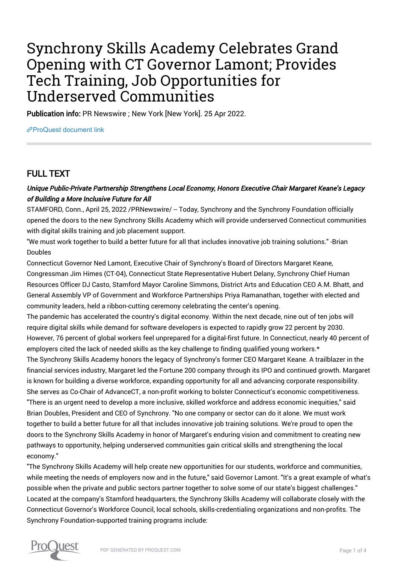# Synchrony Skills Academy Celebrates Grand Opening with CT Governor Lamont; Provides Tech Training, Job Opportunities for Underserved Communities

Publication info: PR Newswire ; New York [New York]. 25 Apr 2022.

[ProQuest document link](https://www.proquest.com/wire-feeds/synchrony-skills-academy-celebrates-grand-opening/docview/2654301250/se-2?accountid=44910)

# FULL TEXT

### Unique Public-Private Partnership Strengthens Local Economy, Honors Executive Chair Margaret Keane's Legacy of Building a More Inclusive Future for All

STAMFORD, Conn., April 25, 2022 /PRNewswire/ -- Today, Synchrony and the Synchrony Foundation officially opened the doors to the new Synchrony Skills Academy which will provide underserved Connecticut communities with digital skills training and job placement support.

"We must work together to build a better future for all that includes innovative job training solutions." -Brian Doubles

Connecticut Governor Ned Lamont, Executive Chair of Synchrony's Board of Directors Margaret Keane, Congressman Jim Himes (CT-04), Connecticut State Representative Hubert Delany, Synchrony Chief Human Resources Officer DJ Casto, Stamford Mayor Caroline Simmons, District Arts and Education CEO A.M. Bhatt, and General Assembly VP of Government and Workforce Partnerships Priya Ramanathan, together with elected and community leaders, held a ribbon-cutting ceremony celebrating the center's opening.

The pandemic has accelerated the country's digital economy. Within the next decade, nine out of ten jobs will require digital skills while demand for software developers is expected to rapidly grow 22 percent by 2030. However, 76 percent of global workers feel unprepared for a digital-first future. In Connecticut, nearly 40 percent of employers cited the lack of needed skills as the key challenge to finding qualified young workers.\*

The Synchrony Skills Academy honors the legacy of Synchrony's former CEO Margaret Keane. A trailblazer in the financial services industry, Margaret led the Fortune 200 company through its IPO and continued growth. Margaret is known for building a diverse workforce, expanding opportunity for all and advancing corporate responsibility. She serves as Co-Chair of AdvanceCT, a non-profit working to bolster Connecticut's economic competitiveness. "There is an urgent need to develop a more inclusive, skilled workforce and address economic inequities," said Brian Doubles, President and CEO of Synchrony. "No one company or sector can do it alone. We must work together to build a better future for all that includes innovative job training solutions. We're proud to open the doors to the Synchrony Skills Academy in honor of Margaret's enduring vision and commitment to creating new pathways to opportunity, helping underserved communities gain critical skills and strengthening the local economy."

"The Synchrony Skills Academy will help create new opportunities for our students, workforce and communities, while meeting the needs of employers now and in the future," said Governor Lamont. "It's a great example of what's possible when the private and public sectors partner together to solve some of our state's biggest challenges." Located at the company's Stamford headquarters, the Synchrony Skills Academy will collaborate closely with the Connecticut Governor's Workforce Council, local schools, skills-credentialing organizations and non-profits. The Synchrony Foundation-supported training programs include:

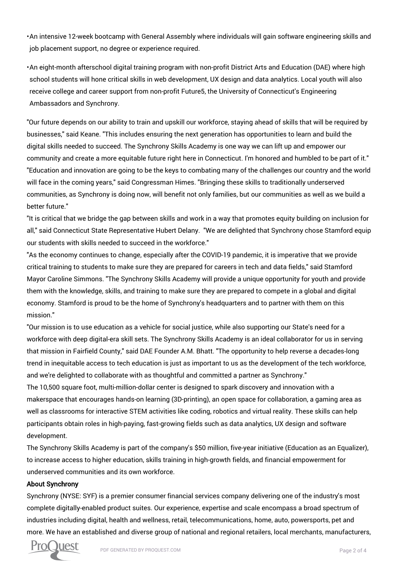• An intensive 12-week bootcamp with General Assembly where individuals will gain software engineering skills and job placement support, no degree or experience required.

• An eight-month afterschool digital training program with non-profit District Arts and Education (DAE) where high school students will hone critical skills in web development, UX design and data analytics. Local youth will also receive college and career support from non-profit Future5, the University of Connecticut's Engineering Ambassadors and Synchrony.

"Our future depends on our ability to train and upskill our workforce, staying ahead of skills that will be required by businesses," said Keane. "This includes ensuring the next generation has opportunities to learn and build the digital skills needed to succeed. The Synchrony Skills Academy is one way we can lift up and empower our community and create a more equitable future right here in Connecticut. I'm honored and humbled to be part of it." "Education and innovation are going to be the keys to combating many of the challenges our country and the world will face in the coming years," said Congressman Himes. "Bringing these skills to traditionally underserved communities, as Synchrony is doing now, will benefit not only families, but our communities as well as we build a better future."

"It is critical that we bridge the gap between skills and work in a way that promotes equity building on inclusion for all," said Connecticut State Representative Hubert Delany. "We are delighted that Synchrony chose Stamford equip our students with skills needed to succeed in the workforce."

"As the economy continues to change, especially after the COVID-19 pandemic, it is imperative that we provide critical training to students to make sure they are prepared for careers in tech and data fields," said Stamford Mayor Caroline Simmons. "The Synchrony Skills Academy will provide a unique opportunity for youth and provide them with the knowledge, skills, and training to make sure they are prepared to compete in a global and digital economy. Stamford is proud to be the home of Synchrony's headquarters and to partner with them on this mission."

"Our mission is to use education as a vehicle for social justice, while also supporting our State's need for a workforce with deep digital-era skill sets. The Synchrony Skills Academy is an ideal collaborator for us in serving that mission in Fairfield County," said DAE Founder A.M. Bhatt. "The opportunity to help reverse a decades-long trend in inequitable access to tech education is just as important to us as the development of the tech workforce, and we're delighted to collaborate with as thoughtful and committed a partner as Synchrony."

The 10,500 square foot, multi-million-dollar center is designed to spark discovery and innovation with a makerspace that encourages hands-on learning (3D-printing), an open space for collaboration, a gaming area as well as classrooms for interactive STEM activities like coding, robotics and virtual reality. These skills can help participants obtain roles in high-paying, fast-growing fields such as data analytics, UX design and software development.

The Synchrony Skills Academy is part of the company's \$50 million, five-year initiative (Education as an Equalizer), to increase access to higher education, skills training in high-growth fields, and financial empowerment for underserved communities and its own workforce.

#### About Synchrony

Synchrony (NYSE: SYF) is a premier consumer financial services company delivering one of the industry's most complete digitally-enabled product suites. Our experience, expertise and scale encompass a broad spectrum of industries including digital, health and wellness, retail, telecommunications, home, auto, powersports, pet and more. We have an established and diverse group of national and regional retailers, local merchants, manufacturers,

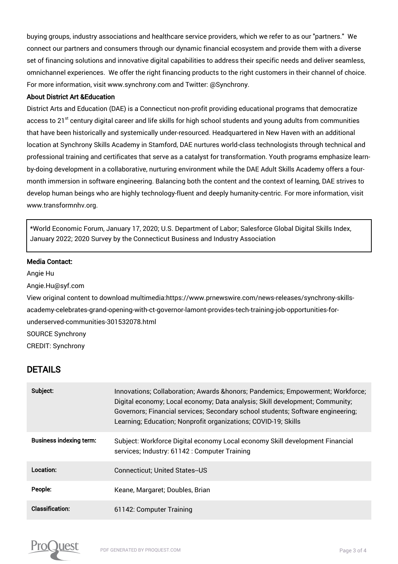buying groups, industry associations and healthcare service providers, which we refer to as our "partners." We connect our partners and consumers through our dynamic financial ecosystem and provide them with a diverse set of financing solutions and innovative digital capabilities to address their specific needs and deliver seamless, omnichannel experiences. We offer the right financing products to the right customers in their channel of choice. For more information, visit www.synchrony.com and Twitter: @Synchrony.

#### About District Art &Education

District Arts and Education (DAE) is a Connecticut non-profit providing educational programs that democratize access to 21<sup>st</sup> century digital career and life skills for high school students and young adults from communities that have been historically and systemically under-resourced. Headquartered in New Haven with an additional location at Synchrony Skills Academy in Stamford, DAE nurtures world-class technologists through technical and professional training and certificates that serve as a catalyst for transformation. Youth programs emphasize learnby-doing development in a collaborative, nurturing environment while the DAE Adult Skills Academy offers a fourmonth immersion in software engineering. Balancing both the content and the context of learning, DAE strives to develop human beings who are highly technology-fluent and deeply humanity-centric. For more information, visit www.transformnhv.org.

\*World Economic Forum, January 17, 2020; U.S. Department of Labor; Salesforce Global Digital Skills Index, January 2022; 2020 Survey by the Connecticut Business and Industry Association

#### Media Contact:

Angie Hu

Angie.Hu@syf.com

View original content to download multimedia:https://www.prnewswire.com/news-releases/synchrony-skillsacademy-celebrates-grand-opening-with-ct-governor-lamont-provides-tech-training-job-opportunities-forunderserved-communities-301532078.html SOURCE Synchrony CREDIT: Synchrony

## DETAILS

| Subject:                       | Innovations; Collaboration; Awards & honors; Pandemics; Empowerment; Workforce;<br>Digital economy; Local economy; Data analysis; Skill development; Community;<br>Governors; Financial services; Secondary school students; Software engineering;<br>Learning; Education; Nonprofit organizations; COVID-19; Skills |
|--------------------------------|----------------------------------------------------------------------------------------------------------------------------------------------------------------------------------------------------------------------------------------------------------------------------------------------------------------------|
| <b>Business indexing term:</b> | Subject: Workforce Digital economy Local economy Skill development Financial<br>services; Industry: 61142 : Computer Training                                                                                                                                                                                        |
| Location:                      | <b>Connecticut; United States--US</b>                                                                                                                                                                                                                                                                                |
| People:                        | Keane, Margaret; Doubles, Brian                                                                                                                                                                                                                                                                                      |
| Classification:                | 61142: Computer Training                                                                                                                                                                                                                                                                                             |